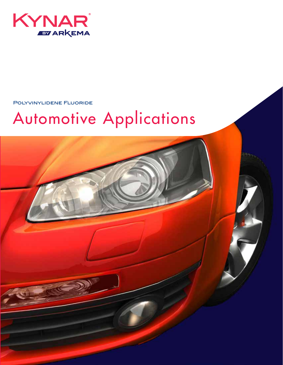

Polyvinylidene Fluoride

# Automotive Applications

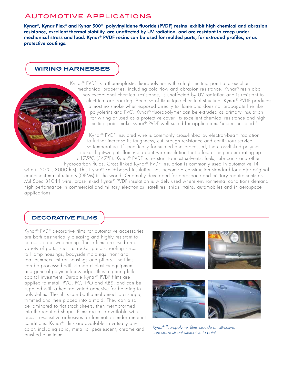## Automotive Applications

Kynar®, Kynar Flex® and Kynar 500® polyvinylidene fluoride (PVDF) resins exhibit high chemical and abrasion resistance, excellent thermal stability, are unaffected by UV radiation, and are resistant to creep under mechanical stress and load. Kynar® PVDF resins can be used for molded parts, for extruded profiles, or as protective coatings.

#### **WIRING HARNESSES**

Kynar® PVDF is a thermoplastic fluoropolymer with a high melting point and excellent mechanical properties, including cold flow and abrasion resistance. Kynar® resin also has exceptional chemical resistance, is unaffected by UV radiation and is resistant to electrical arc tracking. Because of its unique chemical structure, Kynar® PVDF produces almost no smoke when exposed directly to flame and does not propagate fire like polyolefins and PVC. Kynar® fluoropolymer can be extruded as primary insulation for wiring or used as a protective cover. Its excellent chemical resistance and high melting point make Kynar® PVDF well suited for applications "under the hood."

Kynar® PVDF insulated wire is commonly cross-linked by electron-beam radiation to further increase its toughness, cut-through resistance and continuous-service use temperature. If specifically formulated and processed, the cross-linked polymer makes light-weight, flame-retardant wire insulation that offers a temperature rating up to 175°C (347°F). Kynar® PVDF is resistant to most solvents, fuels, lubricants and other

hydrocarbon fluids. Cross-linked Kynar® PVDF insulation is commonly used in automotive T4 wire (150°C, 3000 hrs). This Kynar® PVDF-based insulation has become a construction standard for major original equipment manufacturers (OEMs) in the world. Originally developed for aerospace and military requirements as

Mil Spec 81044 wire, cross-linked Kynar® PVDF insulation is widely used where environmental conditions demand high performance in commercial and military electronics, satellites, ships, trains, automobiles and in aerospace applications.

#### **DECORATIVE FILMS**

Kynar® PVDF decorative films for automotive accessories are both aesthetically pleasing and highly resistant to corrosion and weathering. These films are used on a variety of parts, such as rocker panels, roofing strips, tail lamp housings, bodyside moldings, front and rear bumpers, mirror housings and pillars. The films can be processed with standard plastics equipment and general polymer knowledge, thus requiring little capital investment. Durable Kynar® PVDF films are applied to metal, PVC, PC, TPO and ABS, and can be supplied with a heat-activated adhesive for bonding to polyolefins. The films can be thermoformed to a shape, trimmed and then placed into a mold. They can also be laminated to flat stock sheets, then thermoformed into the required shape. Films are also available with pressure-sensitive adhesives for lamination under ambient conditions. Kynar® films are available in virtually any color, including solid, metallic, pearlescent, chrome and brushed aluminum.





*Kynar® fluoropolymer films provide an attractive, corrosion-resistant alternative to paint.*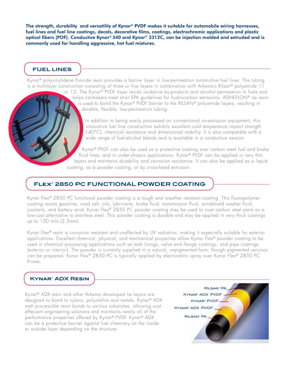The strength, durability and versatility of Kynar® PVDF makes it suitable for automobile wiring harnesses, fuel lines and fuel line coatings, decals, decorative films, coatings, electrochromic applications and plastic optical fibers (POF). Conductive Kynar® 340 and Kynar® 3312C, can be injection molded and extruded and is commonly used for handling aggressive, hot fuel mixtures.

## **FUEL LINES**

Kynar® polyvinylidene fluoride resin provides a barrier layer in low-permeation automotive fuel lines. The tubing is a multilayer construction consisting of three or five layers in combination with Arkema's Rilsan® polyamide 11

or 12. The Kynar® PVDF layer resists oxidative by-products and alcohol permeation in fuels and helps carmakers meet strict EPA guidelines for hydrocarbon emissions. ADHEFLON® tie resin is used to bond the Kynar® PVDF barrier to the RILSAN® polyamide layers, resulting in durable, flexible, low-permeation tubing.

In addition to being easily processed on conventional co-extrusion equipment, this innovative fuel line construction exhibits excellent cold temperature impact strength (-40°C), chemical resistance and dimensional stability. It is also compatible with a wide range of fuel-alcohol blends and is available in a conductive version.

Kynar® PVDF can also be used as a protective coating over carbon steel fuel and brake fluid lines, and in under-chassis applications. Kynar® PVDF can be applied in very thin layers and maintains durability and corrosion resistance. It can also be applied as a liquid coating, as a powder coating, or by cross-head extrusion.

## **Flex® 2850 PC FUNCTIONAL POWDER COATING**

Kynar Flex® 2850 PC functional powder coating is a tough and weather resistant coating. This fluoropolymer coating resists gasoline, road salt, oils, lubricants, brake fluid, transmission fluid, windshield washer fluid, coolants, and battery acid. Kynar Flex® 2850 PC powder coating may be used to coat carbon steel parts as a low-cost alternative to stainless steel. This powder coating is durable and may be applied in very thick coatings up to 100 mils (2.5mm).

Kynar Flex® resin is corrosion resistant and unaffected by UV radiation, making it especially suitable for exterior applications. Excellent chemical, physical, and mechanical properties allow Kynar Flex® powder coating to be used in chemical processing applications such as tank linings, valve and flange coatings, and pipe coatings (exterior or interior). The powder is currently supplied in a natural, unpigmented form, though pigmented versions can be prepared. Kynar Flex® 2850 PC is typically applied by electrostatic spray over Kynar Flex® 2850 PC Primer.

### **Kynar® ADX Resin**

Kynar® ADX resin and other Arkema developed tie layers are designed to bond to nylons, polyolefins and metals. Kynar® ADX melt processible resin bonds to various substrates, allowing cost effecient engineering solutions and maintains nearly all of the performance properties offered by Kynar® PVDF. Kynar® ADX can be a protective barrier against fuel chemistry on the inside or outside layer depending on the structure.